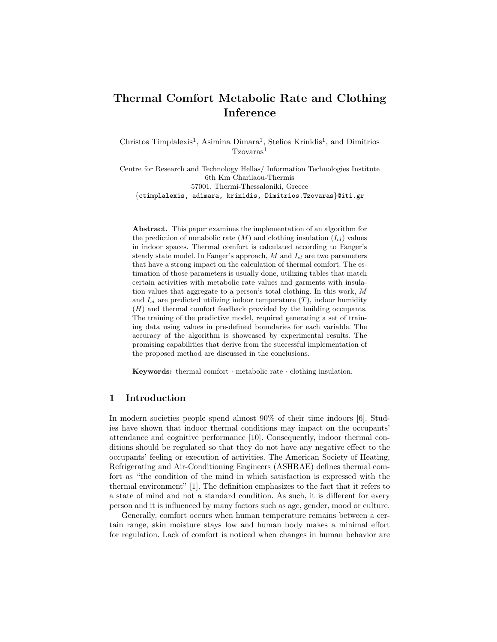# Thermal Comfort Metabolic Rate and Clothing Inference

Christos Timplalexis<sup>1</sup>, Asimina Dimara<sup>1</sup>, Stelios Krinidis<sup>1</sup>, and Dimitrios Tzovaras<sup>1</sup>

Centre for Research and Technology Hellas/ Information Technologies Institute 6th Km Charilaou-Thermis 57001, Thermi-Thessaloniki, Greece {ctimplalexis, adimara, krinidis, Dimitrios.Tzovaras}@iti.gr

Abstract. This paper examines the implementation of an algorithm for the prediction of metabolic rate  $(M)$  and clothing insulation  $(I_{cl})$  values in indoor spaces. Thermal comfort is calculated according to Fanger's steady state model. In Fanger's approach,  $M$  and  $I_{cl}$  are two parameters that have a strong impact on the calculation of thermal comfort. The estimation of those parameters is usually done, utilizing tables that match certain activities with metabolic rate values and garments with insulation values that aggregate to a person's total clothing. In this work, M and  $I_{cl}$  are predicted utilizing indoor temperature  $(T)$ , indoor humidity (H) and thermal comfort feedback provided by the building occupants. The training of the predictive model, required generating a set of training data using values in pre-defined boundaries for each variable. The accuracy of the algorithm is showcased by experimental results. The promising capabilities that derive from the successful implementation of the proposed method are discussed in the conclusions.

**Keywords:** thermal comfort  $\cdot$  metabolic rate  $\cdot$  clothing insulation.

## 1 Introduction

In modern societies people spend almost 90% of their time indoors [6]. Studies have shown that indoor thermal conditions may impact on the occupants' attendance and cognitive performance [10]. Consequently, indoor thermal conditions should be regulated so that they do not have any negative effect to the occupants' feeling or execution of activities. The American Society of Heating, Refrigerating and Air-Conditioning Engineers (ASHRAE) defines thermal comfort as "the condition of the mind in which satisfaction is expressed with the thermal environment" [1]. The definition emphasizes to the fact that it refers to a state of mind and not a standard condition. As such, it is different for every person and it is influenced by many factors such as age, gender, mood or culture.

Generally, comfort occurs when human temperature remains between a certain range, skin moisture stays low and human body makes a minimal effort for regulation. Lack of comfort is noticed when changes in human behavior are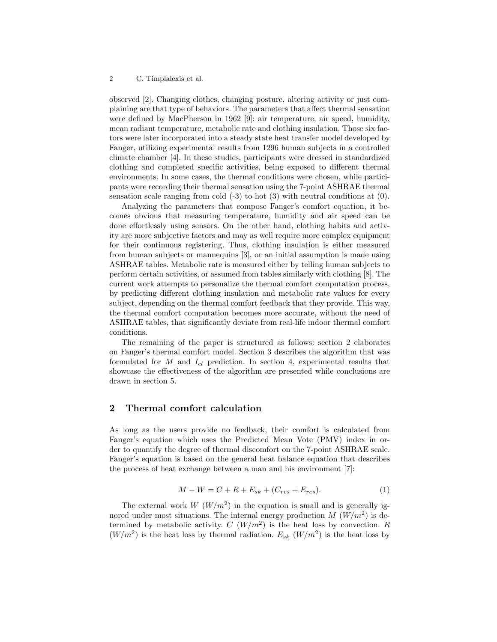observed [2]. Changing clothes, changing posture, altering activity or just complaining are that type of behaviors. The parameters that affect thermal sensation were defined by MacPherson in 1962 [9]: air temperature, air speed, humidity, mean radiant temperature, metabolic rate and clothing insulation. Those six factors were later incorporated into a steady state heat transfer model developed by Fanger, utilizing experimental results from 1296 human subjects in a controlled climate chamber [4]. In these studies, participants were dressed in standardized clothing and completed specific activities, being exposed to different thermal environments. In some cases, the thermal conditions were chosen, while participants were recording their thermal sensation using the 7-point ASHRAE thermal sensation scale ranging from cold  $(-3)$  to hot  $(3)$  with neutral conditions at  $(0)$ .

Analyzing the parameters that compose Fanger's comfort equation, it becomes obvious that measuring temperature, humidity and air speed can be done effortlessly using sensors. On the other hand, clothing habits and activity are more subjective factors and may as well require more complex equipment for their continuous registering. Thus, clothing insulation is either measured from human subjects or mannequins [3], or an initial assumption is made using ASHRAE tables. Metabolic rate is measured either by telling human subjects to perform certain activities, or assumed from tables similarly with clothing [8]. The current work attempts to personalize the thermal comfort computation process, by predicting different clothing insulation and metabolic rate values for every subject, depending on the thermal comfort feedback that they provide. This way, the thermal comfort computation becomes more accurate, without the need of ASHRAE tables, that significantly deviate from real-life indoor thermal comfort conditions.

The remaining of the paper is structured as follows: section 2 elaborates on Fanger's thermal comfort model. Section 3 describes the algorithm that was formulated for M and  $I_{cl}$  prediction. In section 4, experimental results that showcase the effectiveness of the algorithm are presented while conclusions are drawn in section 5.

## 2 Thermal comfort calculation

As long as the users provide no feedback, their comfort is calculated from Fanger's equation which uses the Predicted Mean Vote (PMV) index in order to quantify the degree of thermal discomfort on the 7-point ASHRAE scale. Fanger's equation is based on the general heat balance equation that describes the process of heat exchange between a man and his environment [7]:

$$
M - W = C + R + E_{sk} + (C_{res} + E_{res}).
$$
\n(1)

The external work  $W(W/m^2)$  in the equation is small and is generally ignored under most situations. The internal energy production  $M (W/m^2)$  is determined by metabolic activity.  $C(W/m^2)$  is the heat loss by convection. R  $(W/m^2)$  is the heat loss by thermal radiation.  $E_{sk}$   $(W/m^2)$  is the heat loss by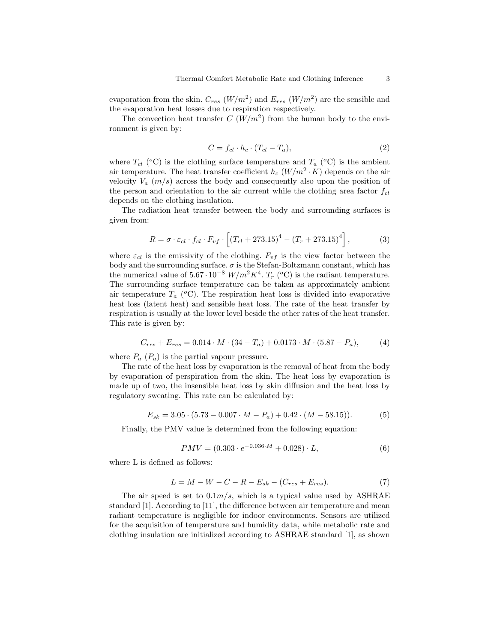evaporation from the skin.  $C_{res}$   $(W/m^2)$  and  $E_{res}$   $(W/m^2)$  are the sensible and the evaporation heat losses due to respiration respectively.

The convection heat transfer  $C(W/m^2)$  from the human body to the environment is given by:

$$
C = f_{cl} \cdot h_c \cdot (T_{cl} - T_a), \tag{2}
$$

where  $T_{cl}$  (<sup>o</sup>C) is the clothing surface temperature and  $T_a$  (<sup>o</sup>C) is the ambient air temperature. The heat transfer coefficient  $h_c (W/m^2 \cdot K)$  depends on the air velocity  $V_a$  ( $m/s$ ) across the body and consequently also upon the position of the person and orientation to the air current while the clothing area factor  $f_{cl}$ depends on the clothing insulation.

The radiation heat transfer between the body and surrounding surfaces is given from:

$$
R = \sigma \cdot \varepsilon_{cl} \cdot f_{cl} \cdot F_{vf} \cdot \left[ (T_{cl} + 273.15)^4 - (T_r + 273.15)^4 \right],\tag{3}
$$

where  $\varepsilon_{cl}$  is the emissivity of the clothing.  $F_{vf}$  is the view factor between the body and the surrounding surface.  $\sigma$  is the Stefan-Boltzmann constant, which has the numerical value of  $5.67 \cdot 10^{-8}$   $W/m^2 K^4$ .  $T_r$  (°C) is the radiant temperature. The surrounding surface temperature can be taken as approximately ambient air temperature  $T_a$  (°C). The respiration heat loss is divided into evaporative heat loss (latent heat) and sensible heat loss. The rate of the heat transfer by respiration is usually at the lower level beside the other rates of the heat transfer. This rate is given by:

$$
C_{res} + E_{res} = 0.014 \cdot M \cdot (34 - T_a) + 0.0173 \cdot M \cdot (5.87 - P_a), \tag{4}
$$

where  $P_a$   $(P_a)$  is the partial vapour pressure.

The rate of the heat loss by evaporation is the removal of heat from the body by evaporation of perspiration from the skin. The heat loss by evaporation is made up of two, the insensible heat loss by skin diffusion and the heat loss by regulatory sweating. This rate can be calculated by:

$$
E_{sk} = 3.05 \cdot (5.73 - 0.007 \cdot M - P_a) + 0.42 \cdot (M - 58.15)). \tag{5}
$$

Finally, the PMV value is determined from the following equation:

$$
PMV = (0.303 \cdot e^{-0.036 \cdot M} + 0.028) \cdot L,\tag{6}
$$

where L is defined as follows:

$$
L = M - W - C - R - E_{sk} - (C_{res} + E_{res}).
$$
\n(7)

The air speed is set to  $0.1m/s$ , which is a typical value used by ASHRAE standard [1]. According to [11], the difference between air temperature and mean radiant temperature is negligible for indoor environments. Sensors are utilized for the acquisition of temperature and humidity data, while metabolic rate and clothing insulation are initialized according to ASHRAE standard [1], as shown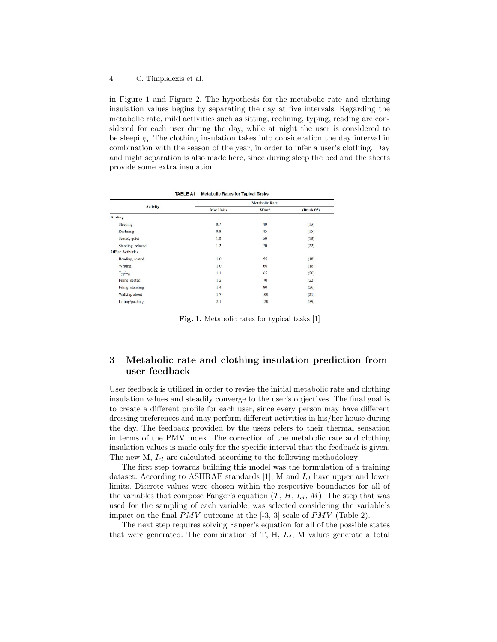in Figure 1 and Figure 2. The hypothesis for the metabolic rate and clothing insulation values begins by separating the day at five intervals. Regarding the metabolic rate, mild activities such as sitting, reclining, typing, reading are considered for each user during the day, while at night the user is considered to be sleeping. The clothing insulation takes into consideration the day interval in combination with the season of the year, in order to infer a user's clothing. Day and night separation is also made here, since during sleep the bed and the sheets provide some extra insulation.

|                          | <b>TABLE A1</b><br><b>Metabolic Rates for Typical Tasks</b> |                       |                          |  |
|--------------------------|-------------------------------------------------------------|-----------------------|--------------------------|--|
|                          |                                                             | <b>Metabolic Rate</b> |                          |  |
| <b>Activity</b>          | <b>Met Units</b>                                            | W/m <sup>2</sup>      | (Btu/h·ft <sup>2</sup> ) |  |
| <b>Resting</b>           |                                                             |                       |                          |  |
| Sleeping                 | 0.7                                                         | 40                    | (13)                     |  |
| Reclining                | 0.8                                                         | 45                    | (15)                     |  |
| Seated, quiet            | 1.0                                                         | 60                    | (18)                     |  |
| Standing, relaxed        | 1.2                                                         | 70                    | (22)                     |  |
| <b>Office Activities</b> |                                                             |                       |                          |  |
| Reading, seated          | 1.0                                                         | 55                    | (18)                     |  |
| Writing                  | 1.0                                                         | 60                    | (18)                     |  |
| Typing                   | 1.1                                                         | 65                    | (20)                     |  |
| Filing, seated           | 1.2                                                         | 70                    | (22)                     |  |
| Filing, standing         | 1.4                                                         | 80                    | (26)                     |  |
| Walking about            | 1.7                                                         | 100                   | (31)                     |  |
| Lifting/packing          | 2.1                                                         | 120                   | (39)                     |  |
|                          |                                                             |                       |                          |  |

Fig. 1. Metabolic rates for typical tasks [1]

# 3 Metabolic rate and clothing insulation prediction from user feedback

User feedback is utilized in order to revise the initial metabolic rate and clothing insulation values and steadily converge to the user's objectives. The final goal is to create a different profile for each user, since every person may have different dressing preferences and may perform different activities in his/her house during the day. The feedback provided by the users refers to their thermal sensation in terms of the PMV index. The correction of the metabolic rate and clothing insulation values is made only for the specific interval that the feedback is given. The new M,  $I_{cl}$  are calculated according to the following methodology:

The first step towards building this model was the formulation of a training dataset. According to ASHRAE standards [1], M and  $I_{cl}$  have upper and lower limits. Discrete values were chosen within the respective boundaries for all of the variables that compose Fanger's equation  $(T, H, I_{cl}, M)$ . The step that was used for the sampling of each variable, was selected considering the variable's impact on the final  $PMV$  outcome at the [-3, 3] scale of  $PMV$  (Table 2).

The next step requires solving Fanger's equation for all of the possible states that were generated. The combination of T, H,  $I_{cl}$ , M values generate a total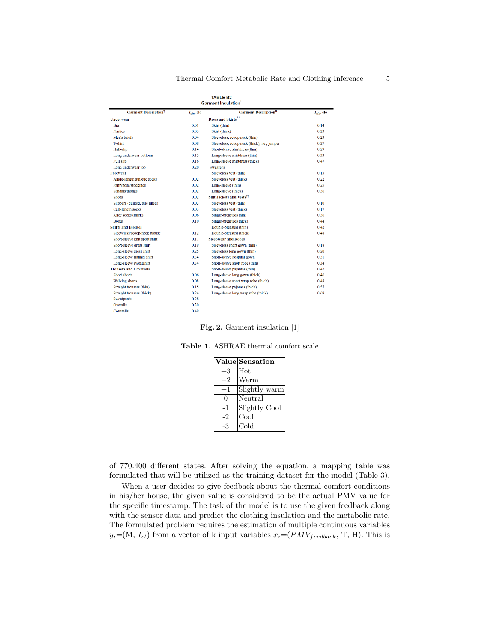| 18866 BZ<br><b>Garment Insulation</b>   |                 |                                              |                 |
|-----------------------------------------|-----------------|----------------------------------------------|-----------------|
| <b>Garment Description</b> <sup>†</sup> | $I_{clw}$ , clo | <b>Garment Description</b> b                 | $I_{clw}$ , clo |
| Underwear                               |                 | <b>Dress and Skirts</b>                      |                 |
| <b>Bra</b>                              | 0.01            | Skirt (thin)                                 | 0.14            |
| Panties                                 | 0.03            | Skirt (thick)                                | 0.23            |
| Men's briefs                            | 0.04            | Sleeveless, scoop neck (thin)                | 0.23            |
| <b>T-shirt</b>                          | 0.08            | Sleeveless, scoop neck (thick), i.e., jumper | 0.27            |
| Half-slip                               | 0.14            | Short-sleeve shirtdress (thin)               | 0.29            |
| Long underwear bottoms                  | 0.15            | Long-sleeve shirtdress (thin)                | 0.33            |
| <b>Full slip</b>                        | 0.16            | Long-sleeve shirtdress (thick)               | 0.47            |
| Long underwear top                      | 0.20            | <b>Sweaters</b>                              |                 |
| <b>Footwear</b>                         |                 | Sleeveless vest (thin)                       | 0.13            |
| Ankle-length athletic socks             | 0.02            | Sleeveless vest (thick)                      | 0.22            |
| Pantyhose/stockings                     | 0.02            | Long-sleeve (thin)                           | 0.25            |
| Sandals/thongs                          | 0.02            | Long-sleeve (thick)                          | 0.36            |
| <b>Shoes</b>                            | 0.02            | Suit Jackets and Vests <sup>††</sup>         |                 |
| Slippers (quilted, pile lined)          | 0.03            | Sleeveless vest (thin)                       | 0.10            |
| Calf-length socks                       | 0.03            | Sleeveless vest (thick)                      | 0.17            |
| Knee socks (thick)                      | 0.06            | Single-breasted (thin)                       | 0.36            |
| <b>Boots</b>                            | 0.10            | Single-breasted (thick)                      | 0.44            |
| <b>Shirts and Blouses</b>               |                 | Double-breasted (thin)                       | 0.42            |
| Sleeveless/scoop-neck blouse            | 0.12            | Double-breasted (thick)                      | 0.48            |
| Short-sleeve knit sport shirt           | 0.17            | <b>Sleepwear and Robes</b>                   |                 |
| Short-sleeve dress shirt                | 0.19            | Sleeveless short gown (thin)                 | 0.18            |
| Long-sleeve dress shirt                 | 0.25            | Sleeveless long gown (thin)                  | 0.20            |
| Long-sleeve flannel shirt               | 0.34            | Short-sleeve hospital gown                   | 0.31            |
| Long-sleeve sweatshirt                  | 0.34            | Short-sleeve short robe (thin)               | 0.34            |
| <b>Trousers and Coveralls</b>           |                 | Short-sleeve paiamas (thin)                  | 0.42            |
| Short shorts                            | 0.06            | Long-sleeve long gown (thick)                | 0.46            |
| <b>Walking shorts</b>                   | 0.08            | Long-sleeve short wrap robe (thick)          | 0.48            |
| Straight trousers (thin)                | 0.15            | Long-sleeve pajamas (thick)                  | 0.57            |
| <b>Straight trousers (thick)</b>        | 0.24            | Long-sleeve long wrap robe (thick)           | 0.69            |
| Sweatpants                              | 0.28            |                                              |                 |
| <b>Overalls</b>                         | 0.30            |                                              |                 |
| Coveralls                               | 0.49            |                                              |                 |

TABLE B<sub>2</sub>

Fig. 2. Garment insulation [1]

Table 1. ASHRAE thermal comfort scale

|      | Value Sensation |
|------|-----------------|
| $+3$ | Hot             |
| $+2$ | Warm            |
| $+1$ | Slightly warm   |
| 0    | Neutral         |
| -1   | Slightly Cool   |
| $-2$ | Cool            |
| -3   | Cold            |

of 770.400 different states. After solving the equation, a mapping table was formulated that will be utilized as the training dataset for the model (Table 3).

When a user decides to give feedback about the thermal comfort conditions in his/her house, the given value is considered to be the actual PMV value for the specific timestamp. The task of the model is to use the given feedback along with the sensor data and predict the clothing insulation and the metabolic rate. The formulated problem requires the estimation of multiple continuous variables  $y_i=[M, I_{cl})$  from a vector of k input variables  $x_i=[PMV_{feedback}, T, H)$ . This is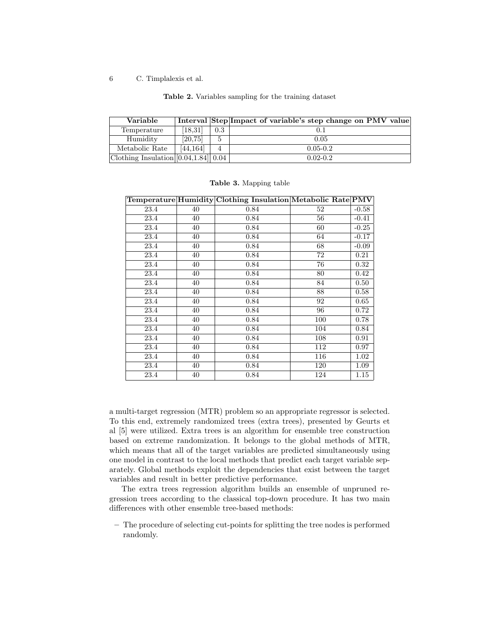|  | Table 2. Variables sampling for the training dataset |  |  |  |  |
|--|------------------------------------------------------|--|--|--|--|
|--|------------------------------------------------------|--|--|--|--|

| Variable                                |           |     | Interval Step Impact of variable's step change on PMV value |
|-----------------------------------------|-----------|-----|-------------------------------------------------------------|
| Temperature                             | [18, 31]  | 0.3 |                                                             |
| Humidity                                | [20, 75]  | 5   | 0.05                                                        |
| Metabolic Rate                          | [44, 164] | 4   | $0.05 - 0.2$                                                |
| Clothing Insulation $(0.04, 1.84)$ 0.04 |           |     | $0.02 - 0.2$                                                |

|      |    | Temperature Humidity Clothing Insulation Metabolic Rate PMV |     |         |
|------|----|-------------------------------------------------------------|-----|---------|
| 23.4 | 40 | 0.84                                                        | 52  | $-0.58$ |
| 23.4 | 40 | 0.84                                                        | 56  | $-0.41$ |
| 23.4 | 40 | 0.84                                                        | 60  | $-0.25$ |
| 23.4 | 40 | 0.84                                                        | 64  | $-0.17$ |
| 23.4 | 40 | 0.84                                                        | 68  | $-0.09$ |
| 23.4 | 40 | 0.84                                                        | 72  | 0.21    |
| 23.4 | 40 | 0.84                                                        | 76  | 0.32    |
| 23.4 | 40 | 0.84                                                        | 80  | 0.42    |
| 23.4 | 40 | 0.84                                                        | 84  | 0.50    |
| 23.4 | 40 | 0.84                                                        | 88  | 0.58    |
| 23.4 | 40 | 0.84                                                        | 92  | 0.65    |
| 23.4 | 40 | 0.84                                                        | 96  | 0.72    |
| 23.4 | 40 | 0.84                                                        | 100 | 0.78    |
| 23.4 | 40 | 0.84                                                        | 104 | 0.84    |
| 23.4 | 40 | 0.84                                                        | 108 | 0.91    |
| 23.4 | 40 | 0.84                                                        | 112 | 0.97    |
| 23.4 | 40 | 0.84                                                        | 116 | 1.02    |
| 23.4 | 40 | 0.84                                                        | 120 | 1.09    |
| 23.4 | 40 | 0.84                                                        | 124 | 1.15    |

Table 3. Mapping table

a multi-target regression (MTR) problem so an appropriate regressor is selected. To this end, extremely randomized trees (extra trees), presented by Geurts et al [5] were utilized. Extra trees is an algorithm for ensemble tree construction based on extreme randomization. It belongs to the global methods of MTR, which means that all of the target variables are predicted simultaneously using one model in contrast to the local methods that predict each target variable separately. Global methods exploit the dependencies that exist between the target variables and result in better predictive performance.

The extra trees regression algorithm builds an ensemble of unpruned regression trees according to the classical top-down procedure. It has two main differences with other ensemble tree-based methods:

– The procedure of selecting cut-points for splitting the tree nodes is performed randomly.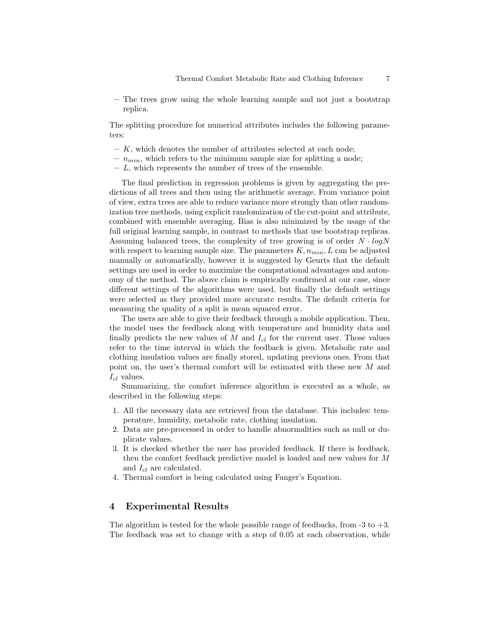– The trees grow using the whole learning sample and not just a bootstrap replica.

The splitting procedure for numerical attributes includes the following parameters:

- $-$  K, which denotes the number of attributes selected at each node;
- $n_{min}$ , which refers to the minimum sample size for splitting a node;
- $L$ , which represents the number of trees of the ensemble.

The final prediction in regression problems is given by aggregating the predictions of all trees and then using the arithmetic average. From variance point of view, extra trees are able to reduce variance more strongly than other randomization tree methods, using explicit randomization of the cut-point and attribute, combined with ensemble averaging. Bias is also minimized by the usage of the full original learning sample, in contrast to methods that use bootstrap replicas. Assuming balanced trees, the complexity of tree growing is of order  $N \cdot logN$ with respect to learning sample size. The parameters  $K, n_{min}, L$  can be adjusted manually or automatically, however it is suggested by Geurts that the default settings are used in order to maximize the computational advantages and autonomy of the method. The above claim is empirically confirmed at our case, since different settings of the algorithms were used, but finally the default settings were selected as they provided more accurate results. The default criteria for measuring the quality of a split is mean squared error.

The users are able to give their feedback through a mobile application. Then, the model uses the feedback along with temperature and humidity data and finally predicts the new values of  $M$  and  $I_{cl}$  for the current user. Those values refer to the time interval in which the feedback is given. Metabolic rate and clothing insulation values are finally stored, updating previous ones. From that point on, the user's thermal comfort will be estimated with these new M and  $I_{cl}$  values.

Summarizing, the comfort inference algorithm is executed as a whole, as described in the following steps:

- 1. All the necessary data are retrieved from the database. This includes: temperature, humidity, metabolic rate, clothing insulation.
- 2. Data are pre-processed in order to handle abnormalities such as null or duplicate values.
- 3. It is checked whether the user has provided feedback. If there is feedback, then the comfort feedback predictive model is loaded and new values for M and  $I_{cl}$  are calculated.
- 4. Thermal comfort is being calculated using Fanger's Equation.

## 4 Experimental Results

The algorithm is tested for the whole possible range of feedbacks, from  $-3$  to  $+3$ . The feedback was set to change with a step of 0.05 at each observation, while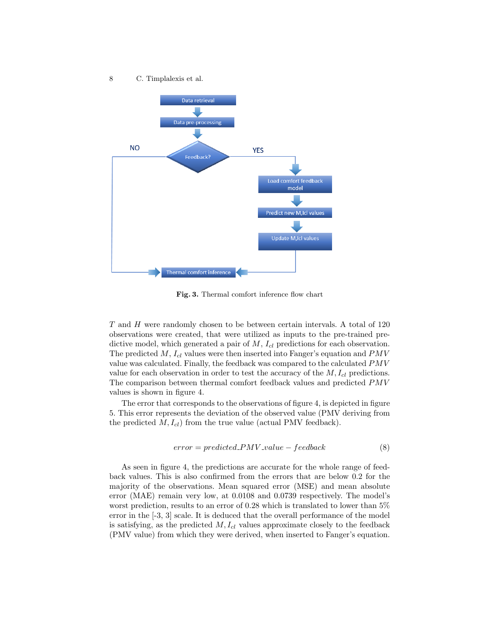8 C. Timplalexis et al.



Fig. 3. Thermal comfort inference flow chart

T and H were randomly chosen to be between certain intervals. A total of 120 observations were created, that were utilized as inputs to the pre-trained predictive model, which generated a pair of  $M$ ,  $I_{cl}$  predictions for each observation. The predicted  $M, I_{cl}$  values were then inserted into Fanger's equation and  $PMV$ value was calculated. Finally, the feedback was compared to the calculated PMV value for each observation in order to test the accuracy of the  $M, I_{cl}$  predictions. The comparison between thermal comfort feedback values and predicted PMV values is shown in figure 4.

The error that corresponds to the observations of figure 4, is depicted in figure 5. This error represents the deviation of the observed value (PMV deriving from the predicted  $M, I_{cl}$ ) from the true value (actual PMV feedback).

$$
error = predicted.PMV\_value - feedback
$$
\n(8)

As seen in figure 4, the predictions are accurate for the whole range of feedback values. This is also confirmed from the errors that are below 0.2 for the majority of the observations. Mean squared error (MSE) and mean absolute error (MAE) remain very low, at 0.0108 and 0.0739 respectively. The model's worst prediction, results to an error of 0.28 which is translated to lower than  $5\%$ error in the [-3, 3] scale. It is deduced that the overall performance of the model is satisfying, as the predicted  $M, I_{cl}$  values approximate closely to the feedback (PMV value) from which they were derived, when inserted to Fanger's equation.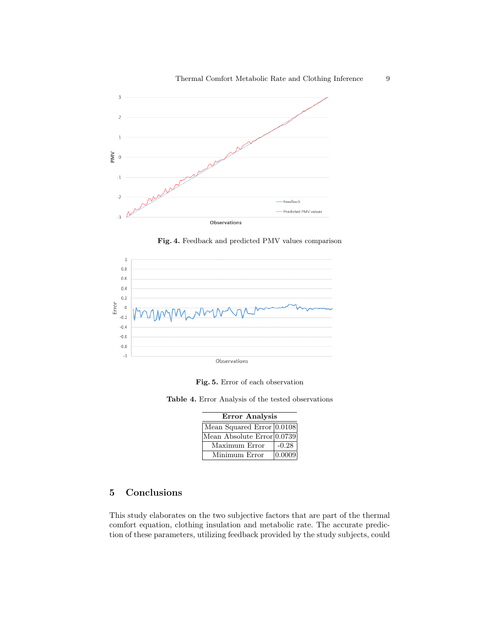

Fig. 4. Feedback and predicted PMV values comparison



Fig. 5. Error of each observation

Table 4. Error Analysis of the tested observations

| <b>Error Analysis</b>      |                     |  |  |  |
|----------------------------|---------------------|--|--|--|
| Mean Squared Error 0.0108  |                     |  |  |  |
| Mean Absolute Error 0.0739 |                     |  |  |  |
| Maximum Error              | $-0.28$             |  |  |  |
| Minimum Error              | $\overline{0.0009}$ |  |  |  |

# 5 Conclusions

This study elaborates on the two subjective factors that are part of the thermal comfort equation, clothing insulation and metabolic rate. The accurate prediction of these parameters, utilizing feedback provided by the study subjects, could